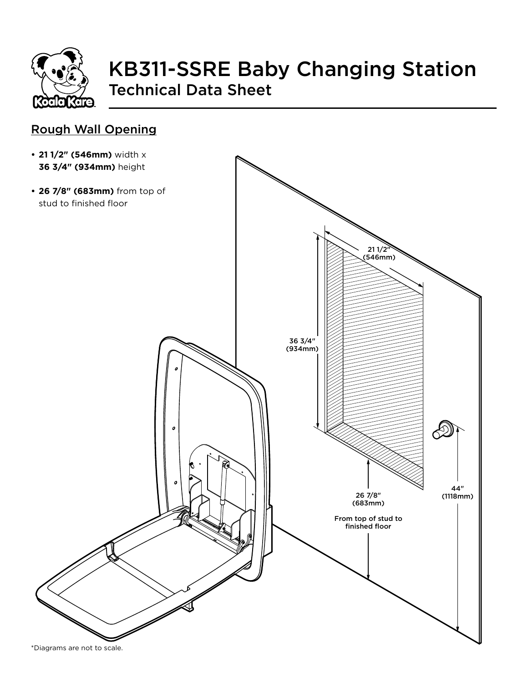

# KB311-SSRE Baby Changing Station Technical Data Sheet

#### Rough Wall Opening

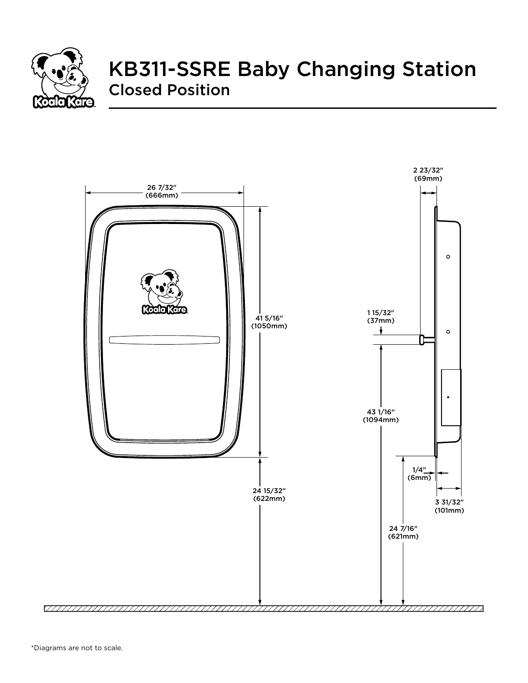

## KB311-SSRE Baby Changing Station Closed Position

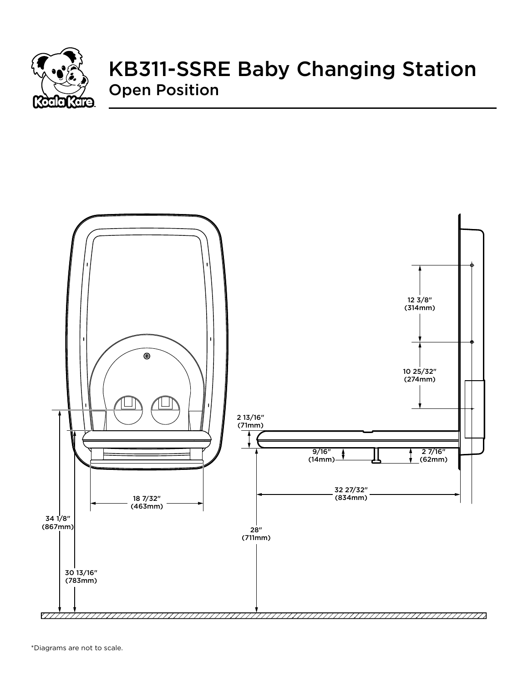

### KB311-SSRE Baby Changing Station Open Position